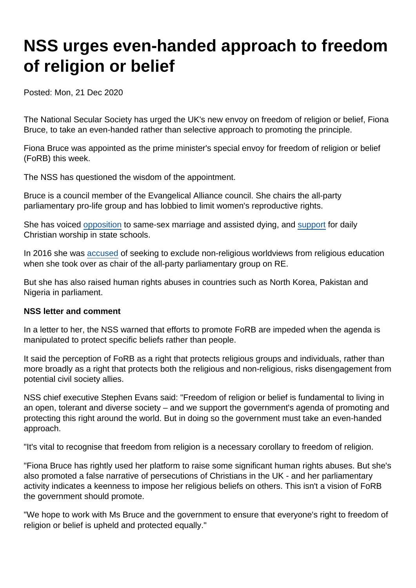## NSS urges even-handed approach to freedom of religion or belief

Posted: Mon, 21 Dec 2020

The National Secular Society has urged the UK's new envoy on freedom of religion or belief, Fiona Bruce, to take an even-handed rather than selective approach to promoting the principle.

Fiona Bruce was appointed as the prime minister's special envoy for freedom of religion or belief (FoRB) this week.

The NSS has questioned the wisdom of the appointment.

Bruce is a council member of the Evangelical Alliance council. She chairs the all-party parliamentary pro-life group and has lobbied to limit women's reproductive rights.

She has voiced [opposition](https://www.theyworkforyou.com/mp/24857/fiona_bruce/congleton/votes) to same-sex marriage and assisted dying, and [support](https://edm.parliament.uk/early-day-motion/47996/school-worship) for daily Christian worship in state schools.

In 2016 she was [accused](https://www.secularism.org.uk/news/2016/04/former-chair-of-parliamentary-re-group-says-its-turning-into-a-religious-sect) of seeking to exclude non-religious worldviews from religious education when she took over as chair of the all-party parliamentary group on RE.

But she has also raised human rights abuses in countries such as North Korea, Pakistan and Nigeria in parliament.

NSS letter and comment

In a letter to her, the NSS warned that efforts to promote FoRB are impeded when the agenda is manipulated to protect specific beliefs rather than people.

It said the perception of FoRB as a right that protects religious groups and individuals, rather than more broadly as a right that protects both the religious and non-religious, risks disengagement from potential civil society allies.

NSS chief executive Stephen Evans said: "Freedom of religion or belief is fundamental to living in an open, tolerant and diverse society – and we support the government's agenda of promoting and protecting this right around the world. But in doing so the government must take an even-handed approach.

"It's vital to recognise that freedom from religion is a necessary corollary to freedom of religion.

"Fiona Bruce has rightly used her platform to raise some significant human rights abuses. But she's also promoted a false narrative of persecutions of Christians in the UK - and her parliamentary activity indicates a keenness to impose her religious beliefs on others. This isn't a vision of FoRB the government should promote.

"We hope to work with Ms Bruce and the government to ensure that everyone's right to freedom of religion or belief is upheld and protected equally."